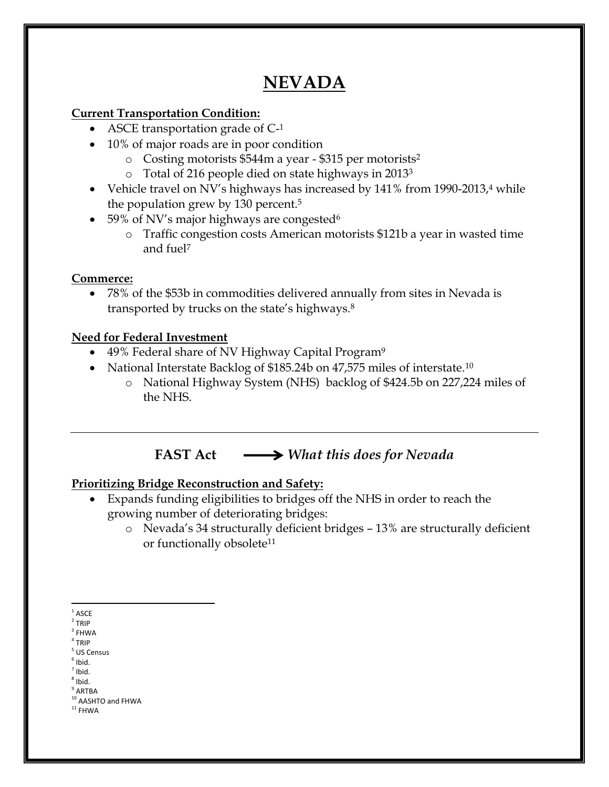# **NEVADA**

#### **Current Transportation Condition:**

- ASCE transportation grade of C<sup>-1</sup>
- 10% of major roads are in poor condition
	- o Costing motorists \$544m a year \$315 per motorists<sup>2</sup>
	- o Total of 216 people died on state highways in 2013<sup>3</sup>
- Vehicle travel on NV's highways has increased by  $141\%$  from 1990-2013, $4$  while the population grew by 130 percent.<sup>5</sup>
- 59% of NV's major highways are congested<sup>6</sup>
	- o Traffic congestion costs American motorists \$121b a year in wasted time and fuel<sup>7</sup>

### **Commerce:**

 78% of the \$53b in commodities delivered annually from sites in Nevada is transported by trucks on the state's highways.<sup>8</sup>

### **Need for Federal Investment**

- 49% Federal share of NV Highway Capital Program<sup>9</sup>
- National Interstate Backlog of \$185.24b on 47,575 miles of interstate.<sup>10</sup>
	- o National Highway System (NHS) backlog of \$424.5b on 227,224 miles of the NHS.

**FAST Act** *What this does for Nevada*

### **Prioritizing Bridge Reconstruction and Safety:**

- Expands funding eligibilities to bridges off the NHS in order to reach the growing number of deteriorating bridges:
	- o Nevada's 34 structurally deficient bridges 13% are structurally deficient or functionally obsolete<sup>11</sup>

 $\overline{\phantom{a}}$  $1$  ASCE

 $2$  TRIP

 $3$  FHWA

- 4 TRIP
- 5 US Census
- $<sup>6</sup>$  Ibid.</sup>  $<sup>7</sup>$  Ibid.</sup>
- 8 Ibid.
- $9$  ARTBA

 $^{\rm 11}$  FHWA

<sup>&</sup>lt;sup>10</sup> AASHTO and FHWA